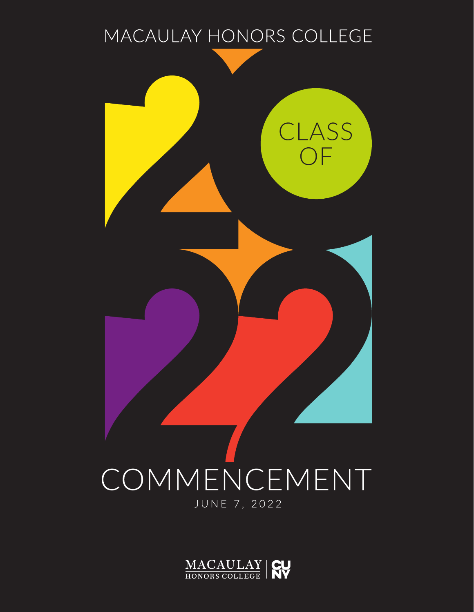

# COMMENCEMENT JUNE 7, 2022

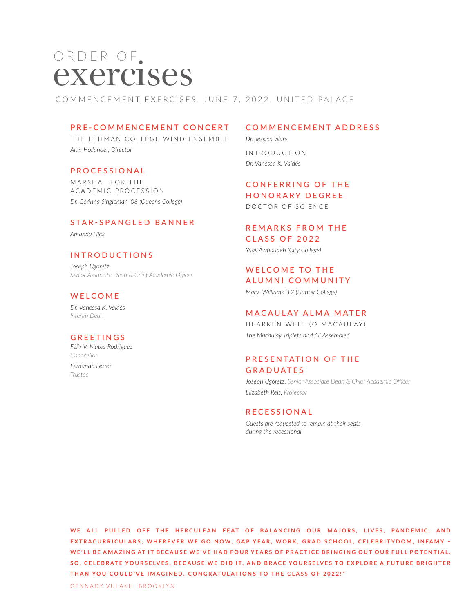# ORDER OF.<br>**EXETCISES**

COMMENCEMENT EXERCISES, JUNE 7, 2022, UNITED PALACE

### **PRE-COMMENCEMENT CONCERT**

THE LEHMAN COLLEGE WIND ENSEMBLE *Alan Hollander, Director*

### PROCESSIONAL

MARSHAL FOR THE ACADEMIC PROCESSION *Dr. Corinna Singleman '08 (Queens College)*

### STAR-SPANGLED BANNER

*Amanda Hick*

### INTRODUCTIONS

*Joseph Ugoretz Senior Associate Dean & Chief Academic Officer*

### WELCOME

*Dr. Vanessa K. Valdés Interim Dean*

### GREETINGS

*Félix V. Matos Rodríguez Chancellor Fernando Ferrer*

*Trustee*

### COMMENCEMENT ADDRESS

*Dr. Jessica Ware* IN TRODUCTION *Dr. Vanessa K. Valdés*

**CONFERRING OF THE** HONORARY DEGREE DOCTOR OF SCIENCE

# REMARKS FROM THE CLASS OF 2022

*Yaas Azmoudeh (City College)*

### WELCOME TO THE ALUMNI COMMUNITY

*Mary Williams '12 (Hunter College)*

### MACAULAY ALMA MATER

HEARKEN WELL (O MACAULAY) *The Macaulay Triplets and All Assembled*

### PRESENTATION OF THE **GRADUATES**

*Joseph Ugoretz, Senior Associate Dean & Chief Academic Officer Elizabeth Reis, Professor*

### RECESSIONAL

*Guests are requested to remain at their seats during the recessional* 

WE ALL PULLED OFF THE HERCULEAN FEAT OF BALANCING OUR MAJORS, LIVES, PANDEMIC, AND EXTRACURRICULARS; WHEREVER WE GO NOW, GAP YEAR, WORK, GRAD SCHOOL, CELEBRITYDOM, INFAMY -WE'LL BE AMAZING AT IT BECAUSE WE'VE HAD FOUR YEARS OF PRACTICE BRINGING OUT OUR FULL POTENTIAL. SO, CELEBRATE YOURSELVES, BECAUSE WE DID IT, AND BRACE YOURSELVES TO EXPLORE A FUTURE BRIGHTER **THAN YOU COULD'VE IMAGINED. CONGRATULATIONS TO THE CLASS OF 2022!"**

GENNADY VULAKH, BROOKLYN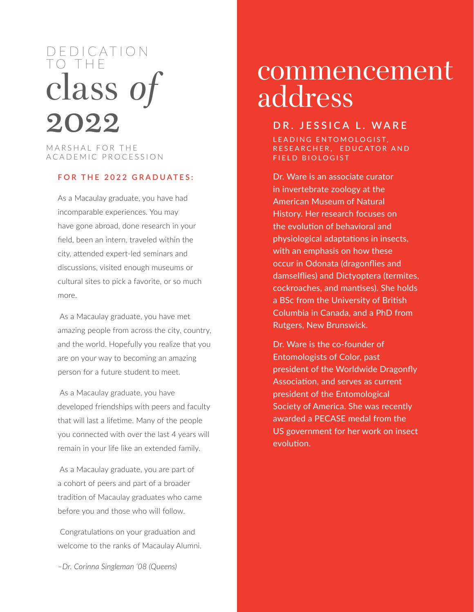# D E D I C AT I O N TO THE class *of* 2022

MARSHAL FOR THE ACADEMIC PROCESSION

### **FOR THE 2022 GRADUATES:**

As a Macaulay graduate, you have had incomparable experiences. You may have gone abroad, done research in your field, been an intern, traveled within the city, attended expert-led seminars and discussions, visited enough museums or cultural sites to pick a favorite, or so much more.

 As a Macaulay graduate, you have met amazing people from across the city, country, and the world. Hopefully you realize that you are on your way to becoming an amazing person for a future student to meet.

 As a Macaulay graduate, you have developed friendships with peers and faculty that will last a lifetime. Many of the people you connected with over the last 4 years will remain in your life like an extended family.

 As a Macaulay graduate, you are part of a cohort of peers and part of a broader tradition of Macaulay graduates who came before you and those who will follow.

 Congratulations on your graduation and welcome to the ranks of Macaulay Alumni.

*–Dr. Corinna Singleman '08 (Queens)*

# commencement address

# **DR. JESSICA L. WARE**

LEADING ENTOMOLOGIST. RESEARCHER, EDUCATOR AND FIELD BIOLOGIST

Dr. Ware is an associate curator in invertebrate zoology at the American Museum of Natural History. Her research focuses on the evolution of behavioral and physiological adaptations in insects, with an emphasis on how these occur in Odonata (dragonflies and damselflies) and Dictyoptera (termites, cockroaches, and mantises). She holds a BSc from the University of British Columbia in Canada, and a PhD from Rutgers, New Brunswick.

Dr. Ware is the co-founder of Entomologists of Color, past president of the Worldwide Dragonfly Association, and serves as current president of the Entomological Society of America. She was recently awarded a PECASE medal from the US government for her work on insect evolution.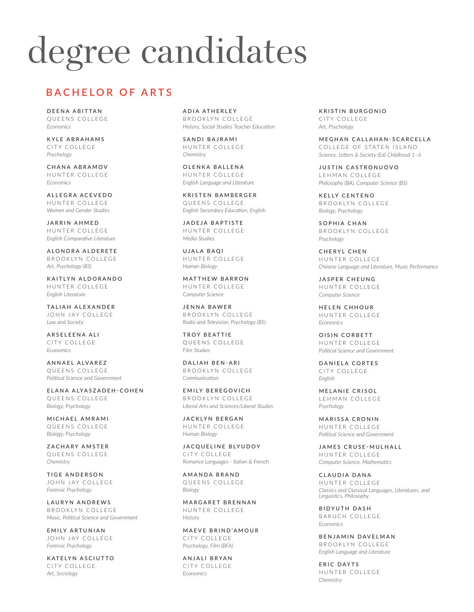# degree candidates

# **BACHELOR OF ARTS**

DEENA ABITTAN QUEENS COLLEGE *Economics*

KYLE ABRAHAMS CITY COLLEGE *Psychology*

CHANA ABRAMOV HUNTER COLLEGE *Economics*

ALLEGRA ACEVEDO HUNTER COLLEGE *Women and Gender Studies*

JARRIN AHMED HUNTER COLLEGE *English Comparative Literature*

ALONDRA ALDERETE BROOKLYN COLLEGE *Art, Psychology (BS)*

KAITLYN ALDORANDO HUNTER COLLEGE *English Literature*

TALIAH ALEXANDER JOHN JAY COLLEGE *Law and Society*

ARSELEENA ALI CITY COLLEGE *Economics*

ANNAEL ALVAREZ QUEENS COLLEGE *Political Science and Government*

ELANA ALYASZADEH-COHEN QUEENS COLLEGE *Biology, Psychology*

MICHAEL AMRAMI QUEENS COLLEGE *Biology, Psychology*

ZACHARY AMSTER QUEENS COLLEGE *Chemistry*

TIGE ANDERSON JOHN JAY COLLEGE *Forensic Psychology*

LAURYN ANDREWS BROOKLYN COLLEGE *Music, Political Science and Government*

EMILY ARTUNIAN JOHN JAY COLLEGE *Forensic Psychology*

KATELYN ASCIUTTO CITY COLLEGE *Art, Sociology*

ADIA ATHERLEY BROOKLYN COLLEGE *History, Social Studies Teacher Education*

SANDI BAJRAMI HUNTER COLLEGE *Chemistry*

OLENKA BALLENA HUNTER COLLEGE *English Language and Literature*

KRISTEN BAMBERGER QUEENS COLLEGE *English Secondary Education, English* 

JADEJA BAPTISTE HUNTER COLLEGE *Media Studies*

UJALA BAQI HUNTER COLLEGE *Human Biology*

MATTHEW BARRON HUNTER COLLEGE *Computer Science*

JENNA BAWER BROOKLYN COLLEGE *Radio and Television, Psychology (BS)*

TROY BEATTIE QUEENS COLLEGE *Film Studies*

DALIAH BEN-ARI BROOKLYN COLLEGE *Communication*

EMILY BEREGOVICH BROOKLYN COLLEGE *Liberal Arts and Sciences/Liberal Studies*

JACKLYN BERGAN HUNTER COLLEGE *Human Biology*

JACQUELINE BLYUDOY CITY COLLEGE *Romance Languages - Italian & French*

AMANDA BRAND QUEENS COLLEGE *Biology*

MARGARET BRENNAN HUNTER COLLEGE *History*

MAEVE BRIND'AMOUR CITY COLLEGE *Psychology, Film (BFA)*

ANJALI BRYAN CITY COLLEGE *Economics*

KRISTIN BURGONIO CITY COLLEGE *Art, Psychology*

MEGHAN CALLAHAN-SCARCELLA COLLEGE OF STATEN ISLAND *Science, Letters & Society (Ed) Childhood 1–6*

JUSTIN CASTRONUOVO LEHMAN COLLEGE *Philosophy (BA), Computer Science (BS)*

KELLY CENTENO BROOKLYN COLLEGE *Biology, Psychology*

SOPHIA CHAN BROOKLYN COLLEGE *Psychology*

CHERYL CHEN HUNTER COLLEGE *Chinese Language and Literature, Music Performance*

JASPER CHEUNG HUNTER COLLEGE *Computer Science*

HELEN CHHOUR HUNTER COLLEGE *Economics*

OISIN CORBETT HUNTER COLLEGE *Political Science and Government*

DANIELA CORTES CITY COLLEGE *English*

MELANIE CRISOL LEHMAN COLLEGE *Psychology*

MARISSA CRONIN HUNTER COLLEGE *Political Science and Government*

JAMES CRUSE-MULHALL HUNTER COLLEGE *Computer Science, Mathematics*

CLAUDIA DANA HUNTER COLLEGE *Classics and Classical Languages, Literatures, and Linguistics, Philosophy*

BIDYUTH DASH BARUCH COLLEGE *Economics*

BENJAMIN DAVELMAN BROOKLYN COLLEGE *English Language and Literature*

ERIC DAYTS HUNTER COLLEGE *Chemistry*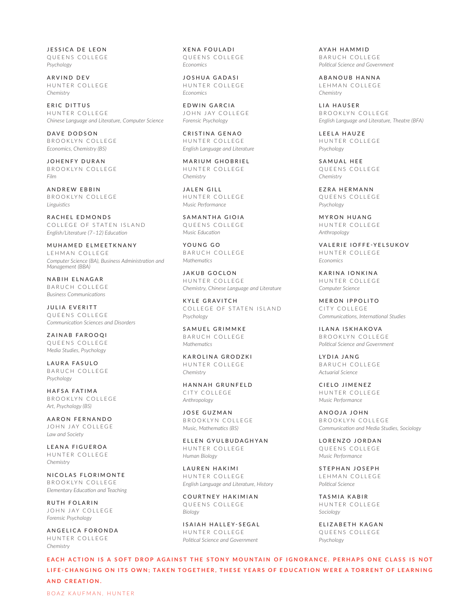JESSICA DE LEON QUEENS COLLEGE *Psychology*

ARVIND DEV HUNTER COLLEGE *Chemistry*

ERIC DITTUS HUNTER COLLEGE *Chinese Language and Literature, Computer Science*

DAVE DODSON BROOKLYN COLLEGE *Economics, Chemistry (BS)*

JOHENFY DURAN BROOKLYN COLLEGE *Film*

ANDREW EBBIN BROOKLYN COLLEGE *Linguistics*

RACHEL EDMONDS COLLEGE OF STATEN ISLAND *English/Literature (7–12) Education*

MUHAMED ELMEETKNANY LEHMAN COLLEGE *Computer Science (BA), Business Administration and Management (BBA)*

NABIH ELNAGAR BARUCH COLLEGE *Business Communications*

JULIA EVERITT QUEENS COLLEGE *Communication Sciences and Disorders*

ZAINAB FAROOQI QUEENS COLLEGE *Media Studies, Psychology*

LAURA FASULO BARUCH COLLEGE *Psychology*

HAFSA FATIMA BROOKLYN COLLEGE *Art, Psychology (BS)*

AARON FERNANDO JOHN JAY COLLEGE *Law and Society*

LEANA FIGUEROA HUNTER COLLEGE *Chemistry*

NICOLAS FLORIMONTE BROOKLYN COLLEGE *Elementary Education and Teaching*

RUTH FOLARIN JOHN JAY COLLEGE *Forensic Psychology*

ANGELICA FORONDA HUNTER COLLEGE *Chemistry*

XENA FOULADI QUEENS COLLEGE *Economics*

JOSHUA GADASI HUNTER COLLEGE *Economics*

EDWIN GARCIA JOHN JAY COLLEGE *Forensic Psychology*

CRISTINA GENAO HUNTER COLLEGE *English Language and Literature*

MARIUM GHOBRIEL HUNTER COLLEGE *Chemistry*

JALEN GILL HUNTER COLLEGE *Music Performance*

SAMANTHA GIOIA QUEENS COLLEGE *Music Education*

YOUNG GO BARUCH COLLEGE *Mathematics*

JAKUB GOCLON HUNTER COLLEGE *Chemistry, Chinese Language and Literature*

KYLE GRAVITCH COLLEGE OF STATEN ISLAND *Psychology*

SAMUEL GRIMMKE BARUCH COLLEGE *Mathematics*

KAROLINA GRODZKI HUNTER COLLEGE *Chemistry*

HANNAH GRUNFELD CITY COLLEGE *Anthropology*

JOSE GUZMAN BROOKLYN COLLEGE *Music, Mathematics (BS)*

ELLEN GYULBUDAGHYAN HUNTER COLLEGE *Human Biology*

LAUREN HAKIMI HUNTER COLLEGE *English Language and Literature, History*

COURTNEY HAKIMIAN QUEENS COLLEGE *Biology*

ISAIAH HALLEY-SEGAL HUNTER COLLEGE *Political Science and Government*

AYAH HAMMID BARUCH COLLEGE *Political Science and Government*

ABANOUB HANNA LEHMAN COLLEGE *Chemistry*

LIA HAUSER BROOKLYN COLLEGE *English Language and Literature, Theatre (BFA)*

LEELA HAUZE HUNTER COLLEGE *Psychology*

SAMUAL HEE QUEENS COLLEGE *Chemistry*

EZRA HERMANN QUEENS COLLEGE *Psychology*

MYRON HUANG HUNTER COLLEGE *Anthropology*

VALERIE IOFFE-YELSUKOV HUNTER COLLEGE *Economics*

KARINA IONKINA HUNTER COLLEGE *Computer Science*

MERON IPPOLITO CITY COLLEGE *Communications, International Studies*

ILANA ISKHAKOVA BROOKLYN COLLEGE *Political Science and Government*

LYDIA JANG BARUCH COLLEGE *Actuarial Science*

CIELO JIMENEZ HUNTER COLLEGE *Music Performance*

ANOOJA JOHN BROOKLYN COLLEGE *Communication and Media Studies, Sociology*

LORENZO JORDAN QUEENS COLLEGE *Music Performance*

STEPHAN JOSEPH LEHMAN COLLEGE *Political Science*

TASMIA KABIR HUNTER COLLEGE *Sociology*

ELIZABETH KAGAN QUEENS COLLEGE *Psychology*

EACH ACTION IS A SOFT DROP AGAINST THE STONY MOUNTAIN OF IGNORANCE. PERHAPS ONE CLASS IS NOT LIFE-CHANGING ON ITS OWN; TAKEN TOGETHER, THESE YEARS OF EDUCATION WERE A TORRENT OF LEARNING **AND CREATION.**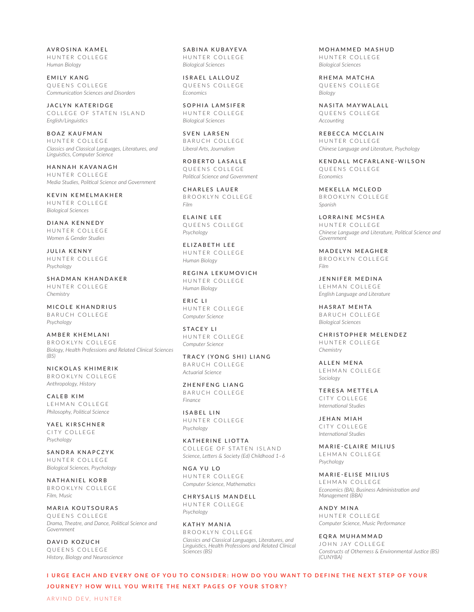AVROSINA KAMEL HUNTER COLLEGE *Human Biology*

EMILY KANG QUEENS COLLEGE *Communication Sciences and Disorders*

JACLYN KATERIDGE COLLEGE OF STATEN ISLAND *English/Linguistics*

BOAZ KAUFMAN HUNTER COLLEGE *Classics and Classical Languages, Literatures, and Linguistics, Computer Science*

HANNAH KAVANAGH HUNTER COLLEGE *Media Studies, Political Science and Government*

KEVIN KEMELMAKHER HUNTER COLLEGE *Biological Sciences*

DIANA KENNEDY HUNTER COLLEGE *Women & Gender Studies*

JULIA KENNY HUNTER COLLEGE *Psychology*

SHADMAN KHANDAKER HUNTER COLLEGE *Chemistry*

MICOLE KHANDRIUS BARUCH COLLEGE *Psychology*

AMBER KHEMLANI BROOKLYN COLLEGE *Biology, Health Professions and Related Clinical Sciences (BS)*

NICKOLAS KHIMERIK BROOKLYN COLLEGE *Anthropology, History*

CALEB KIM LEHMAN COLLEGE *Philosophy, Political Science*

YAEL KIRSCHNER CITY COLLEGE *Psychology*

SANDRA KNAPCZYK HUNTER COLLEGE *Biological Sciences, Psychology*

NATHANIEL KORB BROOKLYN COLLEGE *Film, Music*

MARIA KOUTSOURAS QUEENS COLLEGE *Drama, Theatre, and Dance, Political Science and Government*

DAVID KOZUCH QUEENS COLLEGE *History, Biology and Neuroscience* SABINA KUBAYEVA HUNTER COLLEGE *Biological Sciences*

ISRAEL LALLOUZ QUEENS COLLEGE *Economics*

SOPHIA LAMSIFER HUNTER COLLEGE *Biological Sciences*

SVEN LARSEN BARUCH COLLEGE *Liberal Arts, Journalism*

ROBERTO LASALLE QUEENS COLLEGE *Political Science and Government*

CHARLES LAUER BROOKLYN COLLEGE *Film*

ELAINE LEE QUEENS COLLEGE *Psychology*

ELIZABETH LEE HUNTER COLLEGE *Human Biology*

REGINA LEKUMOVICH HUNTER COLLEGE *Human Biology*

ERIC LI HUNTER COLLEGE *Computer Science*

STACEY LI HUNTER COLLEGE *Computer Science*

TRACY (YONG SHI) LIANG BARUCH COLLEGE *Actuarial Science*

ZHENFENG LIANG BARUCH COLLEGE *Finance*

ISABEL LIN HUNTER COLLEGE *Psychology*

KATHERINE LIOTTA COLLEGE OF STATEN ISLAND *Science, Letters & Society (Ed) Childhood 1–6*

NGA YU LO HUNTER COLLEGE *Computer Science, Mathematics*

CHRYSALIS MANDELL HUNTER COLLEGE *Psychology*

KATHY MANIA BROOKLYN COLLEGE *Classics and Classical Languages, Literatures, and Linguistics, Health Professions and Related Clinical Sciences (BS)*

MOHAMMED MASHUD HUNTER COLLEGE *Biological Sciences*

RHEMA MATCHA QUEENS COLLEGE *Biology*

NASITA MAYWALALL QUEENS COLLEGE *Accounting*

REBECCA MCCLAIN HUNTER COLLEGE *Chinese Language and Literature, Psychology*

KENDALL MCFARLANE-WILSON QUEENS COLLEGE *Economics*

MEKELLA MCLEOD BROOKLYN COLLEGE *Spanish*

LORRAINE MCSHEA HUNTER COLLEGE *Chinese Language and Literature, Political Science and Government*

MADELYN MEAGHER BROOKLYN COLLEGE *Film*

JENNIFER MEDINA LEHMAN COLLEGE *English Language and Literature*

HASRAT MEHTA BARUCH COLLEGE *Biological Sciences*

CHRISTOPHER MELENDEZ HUNTER COLLEGE *Chemistry*

ALLEN MENA LEHMAN COLLEGE *Sociology*

TERESA METTELA CITY COLLEGE *International Studies*

JEHAN MIAH CITY COLLEGE *International Studies*

MARIE-CLAIRE MILIUS LEHMAN COLLEGE *Psychology*

MARIE-ELISE MILIUS LEHMAN COLLEGE *Economics (BA), Business Administration and Management (BBA)*

ANDY MINA HUNTER COLLEGE *Computer Science, Music Performance*

EQRA MUHAMMAD JOHN JAY COLLEGE *Constructs of Otherness & Environmental Justice (BS) (CUNYBA)*

**I URGE EACH AND EVERY ONE OF YOU TO CONSIDER: HOW DO YOU WANT TO DEFINE THE NEXT STEP OF YOUR JOURNEY? HOW WILL YOU WRITE THE NEXT PAGES OF YOUR STORY?**

ARVIND DEV, HUNTER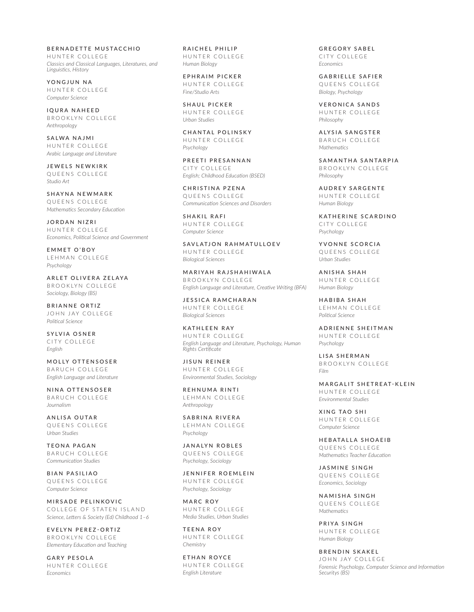BERNADETTE MUSTACCHIO HUNTER COLLEGE *Classics and Classical Languages, Literatures, and Linguistics, History*

YONGJUN NA HUNTER COLLEGE *Computer Science*

IQURA NAHEED BROOKLYN COLLEGE *Anthropology*

SALWA NAJMI HUNTER COLLEGE *Arabic Language and Literature*

JEWELS NEWKIRK QUEENS COLLEGE *Studio Art*

SHAYNA NEWMARK QUEENS COLLEGE *Mathematics Secondary Education*

JORDAN NIZRI HUNTER COLLEGE *Economics, Political Science and Government*

EMMET O'BOY LEHMAN COLLEGE *Psychology*

ARLET OLIVERA ZELAYA BROOKLYN COLLEGE *Sociology, Biology (BS)*

BRIANNE ORTIZ JOHN JAY COLLEGE *Political Science*

SYLVIA OSNER CITY COLLEGE *English*

MOLLY OTTENSOSER BARUCH COLLEGE *English Language and Literature*

NINA OTTENSOSER BARUCH COLLEGE *Journalism*

ANLISA OUTAR QUEENS COLLEGE *Urban Studies*

TEONA PAGAN BARUCH COLLEGE *Communication Studies*

BIAN PASILIAO QUEENS COLLEGE *Computer Science*

MIRSADE PELINKOVIC COLLEGE OF STATEN ISLAND *Science, Letters & Society (Ed) Childhood 1–6*

EVELYN PEREZ-ORTIZ BROOKLYN COLLEGE *Elementary Education and Teaching*

GARY PESOLA HUNTER COLLEGE *Economics*

RAICHEL PHILIP HUNTER COLLEGE *Human Biology*

EPHRAIM PICKER HUNTER COLLEGE *Fine/Studio Arts*

SHAUL PICKER HUNTER COLLEGE *Urban Studies*

CHANTAL POLINSKY HUNTER COLLEGE *Psychology*

PREETI PRESANNAN CITY COLLEGE *English; Childhood Education (BSED)*

CHRISTINA PZENA QUEENS COLLEGE *Communication Sciences and Disorders*

SHAKIL RAFI HUNTER COLLEGE *Computer Science*

SAVLATJON RAHMATULLOEV HUNTER COLLEGE *Biological Sciences*

MARIYAH RAJSHAHIWALA BROOKLYN COLLEGE *English Language and Literature, Creative Writing (BFA)*

JESSICA RAMCHARAN HUNTER COLLEGE *Biological Sciences*

KATHLEEN RAY HUNTER COLLEGE *English Language and Literature, Psychology, Human Rights Certificate*

JISUN REINER HUNTER COLLEGE *Environmental Studies, Sociology*

REHNUMA RINTI LEHMAN COLLEGE *Anthropology*

SABRINA RIVERA LEHMAN COLLEGE *Psychology*

JANALYN ROBLES QUEENS COLLEGE *Psychology, Sociology*

JENNIFER ROEMLEIN HUNTER COLLEGE *Psychology, Sociology*

MARC ROY HUNTER COLLEGE *Media Studies, Urban Studies*

TEENA ROY HUNTER COLLEGE *Chemistry*

ETHAN ROYCE HUNTER COLLEGE *English Literature*

GREGORY SABEL CITY COLLEGE *Economics*

GABRIELLE SAFIER QUEENS COLLEGE *Biology, Psychology*

VERONICA SANDS HUNTER COLLEGE *Philosophy*

ALYSIA SANGSTER BARUCH COLLEGE *Mathematics*

SAMANTHA SANTARPIA BROOKLYN COLLEGE *Philosophy*

AUDREY SARGENTE HUNTER COLLEGE *Human Biology*

KATHERINE SCARDINO CITY COLLEGE *Psychology*

YVONNE SCORCIA QUEENS COLLEGE *Urban Studies*

ANISHA SHAH HUNTER COLLEGE *Human Biology*

HABIBA SHAH LEHMAN COLLEGE *Political Science*

ADRIENNE SHEITMAN HUNTER COLLEGE *Psychology*

LISA SHERMAN BROOKLYN COLLEGE *Film*

MARGALIT SHETREAT-KLEIN HUNTER COLLEGE *Environmental Studies*

XING TAO SHI HUNTER COLLEGE *Computer Science*

HEBATALLA SHOAEIB QUEENS COLLEGE *Mathematics Teacher Education*

JASMINE SINGH QUEENS COLLEGE *Economics, Sociology*

NAMISHA SINGH QUEENS COLLEGE *Mathematics*

PRIYA SINGH HUNTER COLLEGE *Human Biology*

BRENDIN SKAKEL JOHN JAY COLLEGE *Forensic Psychology, Computer Science and Information Securitys (BS)*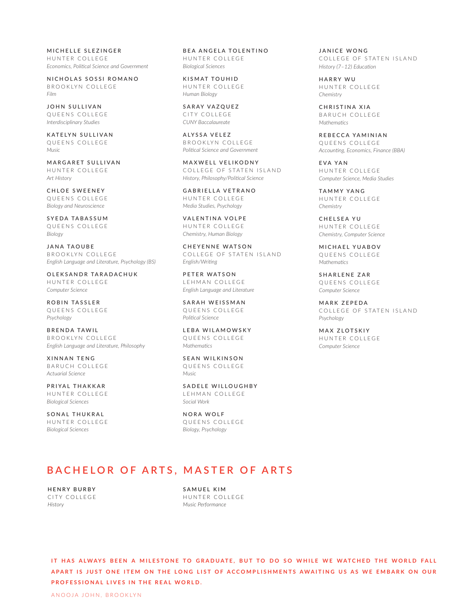MICHELLE SLEZINGER HUNTER COLLEGE *Economics, Political Science and Government*

NICHOLAS SOSSI ROMANO BROOKLYN COLLEGE *Film*

JOHN SULLIVAN QUEENS COLLEGE *Interdisciplinary Studies*

KATELYN SULLIVAN QUEENS COLLEGE *Music* 

MARGARET SULLIVAN HUNTER COLLEGE *Art History*

CHLOE SWEENEY QUEENS COLLEGE *Biology and Neuroscience*

SYEDA TABASSUM QUEENS COLLEGE *Biology*

JANA TAOUBE BROOKLYN COLLEGE *English Language and Literature, Psychology (BS)*

OLEKSANDR TARADACHUK HUNTER COLLEGE *Computer Science*

ROBIN TASSLER QUEENS COLLEGE *Psychology*

BRENDA TAWIL BROOKLYN COLLEGE *English Language and Literature, Philosophy*

XINNAN TENG BARUCH COLLEGE *Actuarial Science*

PRIYAL THAKKAR HUNTER COLLEGE *Biological Sciences*

SONAL THUKRAL HUNTER COLLEGE *Biological Sciences*

BEA ANGELA TOLENTINO HUNTER COLLEGE *Biological Sciences*

KISMAT TOUHID HUNTER COLLEGE *Human Biology*

SARAY VAZQUEZ CITY COLLEGE *CUNY Baccalaureate*

ALYSSA VELEZ BROOKLYN COLLEGE *Political Science and Government*

MAXWELL VELIKODNY COLLEGE OF STATEN ISLAND *History, Philosophy/Political Science*

GABRIELLA VETRANO HUNTER COLLEGE *Media Studies, Psychology*

VALENTINA VOLPE HUNTER COLLEGE *Chemistry, Human Biology*

CHEYENNE WATSON COLLEGE OF STATEN ISLAND *English/Writing*

PETER WATSON LEHMAN COLLEGE *English Language and Literature*

SARAH WEISSMAN QUEENS COLLEGE *Political Science*

LEBA WILAMOWSKY QUEENS COLLEGE *Mathematics*

SEAN WILKINSON QUEENS COLLEGE *Music* 

SADELE WILLOUGHBY LEHMAN COLLEGE *Social Work*

NORA WOLF QUEENS COLLEGE *Biology, Psychology*

JANICE WONG COLLEGE OF STATEN ISLAND *History (7–12) Education*

HARRY WU HUNTER COLLEGE *Chemistry*

CHRISTINA XIA BARUCH COLLEGE *Mathematics*

REBECCA YAMINIAN QUEENS COLLEGE *Accounting, Economics, Finance (BBA)*

EVA YAN HUNTER COLLEGE *Computer Science, Media Studies*

TAMMY YANG HUNTER COLLEGE *Chemistry*

CHELSEA YU HUNTER COLLEGE *Chemistry, Computer Science*

MICHAEL YUABOV QUEENS COLLEGE *Mathematics*

SHARLENE ZAR QUEENS COLLEGE *Computer Science*

MARK ZEPEDA COLLEGE OF STATEN ISLAND *Psychology*

MAX ZLOTSKIY HUNTER COLLEGE *Computer Science*

# **BACHELOR OF ARTS, MASTER OF ARTS**

HENRY BURBY CITY COLLEGE *History*

SAMUEL KIM HUNTER COLLEGE *Music Performance*

IT HAS ALWAYS BEEN A MILESTONE TO GRADUATE, BUT TO DO SO WHILE WE WATCHED THE WORLD FALL A PART IS JUST ONE ITEM ON THE LONG LIST OF ACCOMPLISHMENTS AWAITING US AS WE EMBARK ON OUR **PROFESSIONAL LIVES IN THE REAL WORLD.**

ANOOJA JOHN, BROOKLYN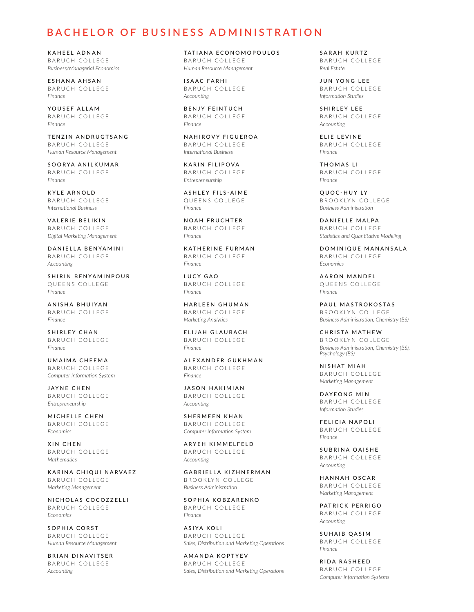### **BACHELOR OF BUSINESS ADMINISTRATION**

KAHEEL ADNAN BARUCH COLLEGE *Business/Managerial Economics*

ESHANA AHSAN BARUCH COLLEGE *Finance*

YOUSEF ALLAM BARUCH COLLEGE *Finance*

TENZIN ANDRUGTSANG BARUCH COLLEGE *Human Resource Management*

SOORYA ANILKUMAR BARUCH COLLEGE *Finance*

KYLE ARNOLD BARUCH COLLEGE *International Business*

VALERIE BELIKIN BARUCH COLLEGE *Digital Marketing Management*

DANIELLA BENYAMINI BARUCH COLLEGE *Accounting*

SHIRIN BENYAMINPOUR QUEENS COLLEGE *Finance*

ANISHA BHUIYAN BARUCH COLLEGE *Finance*

SHIRLEY CHAN BARUCH COLLEGE *Finance*

UMAIMA CHEEMA BARUCH COLLEGE *Computer Information System*

JAYNE CHEN BARUCH COLLEGE *Entrepreneurship*

MICHELLE CHEN BARUCH COLLEGE *Economics*

XIN CHEN BARUCH COLLEGE *Mathematics*

KARINA CHIQUI NARVAEZ BARUCH COLLEGE *Marketing Management*

NICHOLAS COCOZZELLI BARUCH COLLEGE *Economics*

SOPHIA CORST BARUCH COLLEGE *Human Resource Management*

BRIAN DINAVITSER BARUCH COLLEGE *Accounting*

TATIANA ECONOMOPOULOS BARUCH COLLEGE *Human Resource Management*

ISAAC FARHI BARUCH COLLEGE *Accounting*

BENJY FEINTUCH BARUCH COLLEGE *Finance*

NAHIROVY FIGUEROA BARUCH COLLEGE *International Business*

KARIN FILIPOVA BARUCH COLLEGE *Entrepreneurship*

ASHLEY FILS-AIME QUEENS COLLEGE *Finance*

NOAH FRUCHTER BARUCH COLLEGE *Finance*

KATHERINE FURMAN BARUCH COLLEGE *Finance*

LUCY GAO BARUCH COLLEGE *Finance*

HARLEEN GHUMAN BARUCH COLLEGE *Marketing Analytics*

ELIJAH GLAUBACH BARUCH COLLEGE *Finance*

ALEXANDER GUKHMAN BARUCH COLLEGE *Finance*

JASON HAKIMIAN BARUCH COLLEGE *Accounting*

SHERMEEN KHAN BARUCH COLLEGE *Computer Information System*

ARYEH KIMMELFELD BARUCH COLLEGE *Accounting*

GABRIELLA KIZHNERMAN BROOKLYN COLLEGE *Business Administration*

SOPHIA KOBZARENKO BARUCH COLLEGE *Finance*

ASIYA KOLI BARUCH COLLEGE *Sales, Distribution and Marketing Operations*

AMANDA KOPTYEV BARUCH COLLEGE *Sales, Distribution and Marketing Operations* SARAH KURTZ BARUCH COLLEGE *Real Estate*

JUN YONG LEE BARUCH COLLEGE *Information Studies*

SHIRLEY LEE BARUCH COLLEGE *Accounting*

ELIE LEVINE BARUCH COLLEGE *Finance*

THOMAS LI BARUCH COLLEGE *Finance*

QUOC-HUY LY BROOKLYN COLLEGE *Business Administration*

DANIELLE MALPA BARUCH COLLEGE *Statistics and Quantitative Modeling*

DOMINIQUE MANANSALA BARUCH COLLEGE *Economics*

AARON MANDEL QUEENS COLLEGE *Finance*

PAUL MASTROKOSTAS BROOKLYN COLLEGE *Business Administration, Chemistry (BS)*

CHRISTA MATHEW BROOKLYN COLLEGE *Business Administration, Chemistry (BS), Psychology (BS)*

NISHAT MIAH BARUCH COLLEGE *Marketing Management*

DAYEONG MIN BARUCH COLLEGE *Information Studies*

FELICIA NAPOLI BARUCH COLLEGE *Finance*

SUBRINA OAISHE BARUCH COLLEGE *Accounting*

HANNAH OSCAR BARUCH COLLEGE *Marketing Management*

PATRICK PERRIGO BARUCH COLLEGE *Accounting*

SUHAIB QASIM BARUCH COLLEGE *Finance*

RIDA RASHEED BARUCH COLLEGE *Computer Information Systems*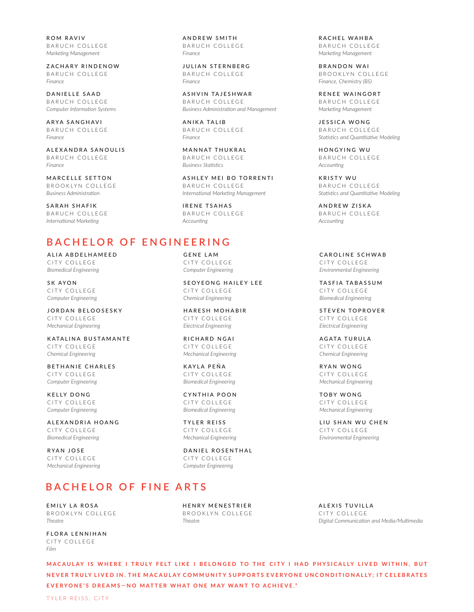ROM RAVIV BARUCH COLLEGE *Marketing Management*

ZACHARY RINDENOW BARUCH COLLEGE *Finance*

DANIELLE SAAD BARUCH COLLEGE *Computer Information Systems*

ARYA SANGHAVI BARUCH COLLEGE *Finance*

ALEXANDRA SANOULIS BARUCH COLLEGE *Finance*

MARCELLE SETTON BROOKLYN COLLEGE *Business Administration*

SARAH SHAFIK BARUCH COLLEGE *International Marketing*

## **BACHELOR OF ENGINEERING**

ALIA ABDELHAMEED CITY COLLEGE *Biomedical Engineering*

SK AYON CITY COLLEGE *Computer Engineering*

JORDAN BELOOSESKY CITY COLLEGE *Mechanical Engineering*

KATALINA BUSTAMANTE CITY COLLEGE *Chemical Engineering*

BETHANIE CHARLES CITY COLLEGE *Computer Engineering*

KELLY DONG CITY COLLEGE *Computer Engineering*

ALEXANDRIA HOANG CITY COLLEGE *Biomedical Engineering*

RYAN JOSE CITY COLLEGE *Mechanical Engineering*

# **BACHELOR OF FINE ARTS**

EMILY LA ROSA BROOKLYN COLLEGE *Theatre*

FLORA LENNIHAN CITY COLLEGE *Film*

ANDREW SMITH BARUCH COLLEGE *Finance*

JULIAN STERNBERG BARUCH COLLEGE *Finance*

ASHVIN TAJESHWAR BARUCH COLLEGE *Business Administration and Management*

ANIKA TALIB BARUCH COLLEGE *Finance*

MANNAT THUKRAL BARUCH COLLEGE *Business Statistics*

ASHLEY MEI BO TORRENTI BARUCH COLLEGE *International Marketing Management*

IRENE TSAHAS BARUCH COLLEGE *Accounting*

### GENE LAM CITY COLLEGE *Computer Engineering*

SEOYEONG HAILEY LEE CITY COLLEGE *Chemical Engineering*

HARESH MOHABIR CITY COLLEGE *Electrical Engineering*

RICHARD NGAI CITY COLLEGE *Mechanical Engineering*

KAYLA PEÑA CITY COLLEGE *Biomedical Engineering*

CYNTHIA POON CITY COLLEGE *Biomedical Engineering*

TYLER REISS CITY COLLEGE *Mechanical Engineering*

DANIEL ROSENTHAL CITY COLLEGE *Computer Engineering*

HENRY MENESTRIER BROOKLYN COLLEGE

*Theatre*

RACHEL WAHBA BARUCH COLLEGE *Marketing Management*

BRANDON WAI BROOKLYN COLLEGE *Finance, Chemistry (BS)*

RENEE WAINGORT BARUCH COLLEGE *Marketing Management*

JESSICA WONG BARUCH COLLEGE *Statistics and Quantitative Modeling*

HONGYING WU BARUCH COLLEGE *Accounting*

KRISTY WU BARUCH COLLEGE *Statistics and Quantitative Modeling*

ANDREW ZISKA BARUCH COLLEGE *Accounting*

CAROLINE SCHWAB CITY COLLEGE *Environmental Engineering*

TASFIA TABASSUM CITY COLLEGE *Biomedical Engineering*

STEVEN TOPROVER CITY COLLEGE *Electrical Engineering*

AGATA TURULA CITY COLLEGE *Chemical Engineering*

RYAN WONG CITY COLLEGE *Mechanical Engineering*

TOBY WONG CITY COLLEGE *Mechanical Engineering*

LIU SHAN WU CHEN CITY COLLEGE *Environmental Engineering*

ALEXIS TUVILLA CITY COLLEGE *Digital Communication and Media/Multimedia*

M A CAULAY IS WHERE I TRULY FELT LIKE I BELONGED TO THE CITY I HAD PHYSICALLY LIVED WITHIN, BUT NEVER TRULY LIVED IN. THE MACAULAY COMMUNITY SUPPORTS EVERYONE UNCONDITIONALLY; IT CELEBRATES **EVERYONE'S DREAMS—NO MATTER WHAT ONE MAY WANT TO ACHIEVE."**

TYLER REISS, CITY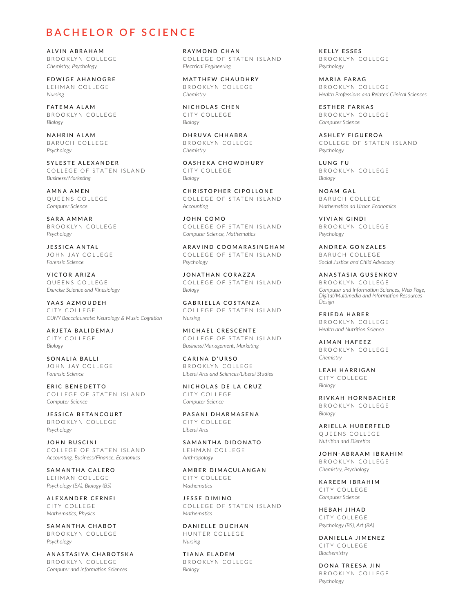### **BACHELOR OF SCIENCE**

ALVIN ABRAHAM BROOKLYN COLLEGE *Chemistry, Psychology*

EDWIGE AHANOGBE LEHMAN COLLEGE *Nursing*

FATEMA ALAM BROOKLYN COLLEGE *Biology*

NAHRIN ALAM BARUCH COLLEGE *Psychology*

SYLESTE ALEXANDER COLLEGE OF STATEN ISLAND *Business/Marketing*

AMNA AMEN QUEENS COLLEGE *Computer Science*

SARA AMMAR BROOKLYN COLLEGE *Psychology*

JESSICA ANTAL JOHN JAY COLLEGE *Forensic Science*

VICTOR ARIZA QUEENS COLLEGE *Exercise Science and Kinesiology*

YAAS AZMOUDEH CITY COLLEGE *CUNY Baccalaureate: Neurology & Music Cognition*

ARJETA BALIDEMAJ CITY COLLEGE *Biology*

SONALIA BALLI JOHN JAY COLLEGE *Forensic Science*

ERIC BENEDETTO COLLEGE OF STATEN ISLAND *Computer Science*

JESSICA BETANCOURT BROOKLYN COLLEGE *Psychology*

JOHN BUSCINI COLLEGE OF STATEN ISLAND *Accounting, Business/Finance, Economics*

SAMANTHA CALERO LEHMAN COLLEGE *Psychology (BA), Biology (BS)*

ALEXANDER CERNEI CITY COLLEGE *Mathematics, Physics*

SAMANTHA CHABOT BROOKLYN COLLEGE *Psychology*

ANASTASIYA CHABOTSKA BROOKLYN COLLEGE *Computer and Information Sciences*

RAYMOND CHAN COLLEGE OF STATEN ISLAND *Electrical Engineering*

MATTHEW CHAUDHRY BROOKLYN COLLEGE *Chemistry*

NICHOLAS CHEN CITY COLLEGE *Biology*

DHRUVA CHHABRA BROOKLYN COLLEGE *Chemistry*

OASHEKA CHOWDHURY CITY COLLEGE *Biology*

CHRISTOPHER CIPOLLONE COLLEGE OF STATEN ISLAND *Accounting*

JOHN COMO COLLEGE OF STATEN ISLAND *Computer Science, Mathematics*

ARAVIND COOMARASINGHAM COLLEGE OF STATEN ISLAND *Psychology*

JONATHAN CORAZZA COLLEGE OF STATEN ISLAND *Biology*

GABRIELLA COSTANZA COLLEGE OF STATEN ISLAND *Nursing*

MICHAEL CRESCENTE COLLEGE OF STATEN ISLAND *Business/Management, Marketing*

CARINA D'URSO BROOKLYN COLLEGE *Liberal Arts and Sciences/Liberal Studies*

NICHOLAS DE LA CRUZ CITY COLLEGE *Computer Science*

PASANI DHARMASENA CITY COLLEGE *Liberal Arts*

SAMANTHA DIDONATO LEHMAN COLLEGE *Anthropology*

AMBER DIMACULANGAN CITY COLLEGE *Mathematics*

JESSE DIMINO COLLEGE OF STATEN ISLAND *Mathematics*

DANIELLE DUCHAN HUNTER COLLEGE *Nursing*

TIANA ELADEM BROOKLYN COLLEGE *Biology*

KELLY ESSES BROOKLYN COLLEGE *Psychology*

MARIA FARAG BROOKLYN COLLEGE *Health Professions and Related Clinical Sciences*

ESTHER FARKAS BROOKLYN COLLEGE *Computer Science*

ASHLEY FIGUEROA COLLEGE OF STATEN ISLAND *Psychology*

LUNG FU BROOKLYN COLLEGE *Biology*

NOAM GAL BARUCH COLLEGE *Mathematics ad Urban Economics*

VIVIAN GINDI BROOKLYN COLLEGE *Psychology*

ANDREA GONZALES BARUCH COLLEGE *Social Justice and Child Advocacy*

ANASTASIA GUSENKOV BROOKLYN COLLEGE *Computer and Information Sciences, Web Page, Digital/Multimedia and Information Resources Design*

FRIEDA HABER BROOKLYN COLLEGE *Health and Nutrition Science*

AIMAN HAFEEZ BROOKLYN COLLEGE *Chemistry*

LEAH HARRIGAN CITY COLLEGE *Biology*

RIVKAH HORNBACHER BROOKLYN COLLEGE *Biology*

ARIELLA HUBERFELD QUEENS COLLEGE *Nutrition and Dietetics*

JOHN-ABRAAM IBRAHIM BROOKLYN COLLEGE *Chemistry, Psychology*

KAREEM IBRAHIM CITY COLLEGE *Computer Science*

HEBAH JIHAD CITY COLLEGE *Psychology (BS), Art (BA)*

DANIELLA JIMENEZ CITY COLLEGE *Biochemistry*

DONA TREESA JIN BROOKLYN COLLEGE *Psychology*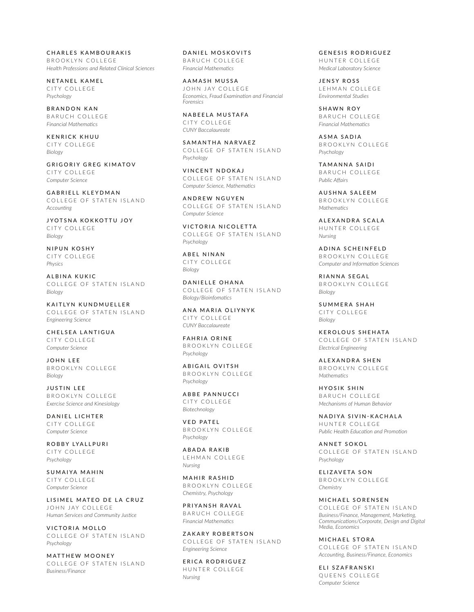CHARLES KAMBOURAKIS BROOKLYN COLLEGE *Health Professions and Related Clinical Sciences*

NETANEL KAMEL CITY COLLEGE *Psychology*

BRANDON KAN BARUCH COLLEGE *Financial Mathematics*

KENRICK KHUU CITY COLLEGE *Biology*

GRIGORIY GREG KIMATOV CITY COLLEGE *Computer Science*

GABRIELL KLEYDMAN COLLEGE OF STATEN ISLAND *Accounting*

JYOTSNA KOKKOTTU JOY CITY COLLEGE *Biology*

NIPUN KOSHY CITY COLLEGE *Physics*

ALBINA KUKIC COLLEGE OF STATEN ISLAND *Biology*

KAITLYN KUNDMUELLER COLLEGE OF STATEN ISLAND *Engineering Science*

CHELSEA LANTIGUA CITY COLLEGE *Computer Science*

JOHN LEE BROOKLYN COLLEGE *Biology*

JUSTIN LEE BROOKLYN COLLEGE *Exercise Science and Kinesiology*

DANIEL LICHTER CITY COLLEGE *Computer Science*

ROBBY LYALLPURI CITY COLLEGE *Psychology*

SUMAIYA MAHIN CITY COLLEGE *Computer Science*

LISIMEL MATEO DE LA CRUZ JOHN JAY COLLEGE *Human Services and Community Justice*

VICTORIA MOLLO COLLEGE OF STATEN ISLAND *Psychology*

MATTHEW MOONEY COLLEGE OF STATEN ISLAND *Business/Finance*

DANIEL MOSKOVITS BARUCH COLLEGE *Financial Mathematics*

AAMASH MUSSA JOHN JAY COLLEGE *Economics, Fraud Examination and Financial Forensics*

NABEELA MUSTAFA CITY COLLEGE *CUNY Baccalaureate*

SAMANTHA NARVAEZ COLLEGE OF STATEN ISLAND *Psychology*

VINCENT NDOKAJ COLLEGE OF STATEN ISLAND *Computer Science, Mathematics*

ANDREW NGUYEN COLLEGE OF STATEN ISLAND *Computer Science*

VICTORIA NICOLETTA COLLEGE OF STATEN ISLAND *Psychology*

ABEL NINAN CITY COLLEGE *Biology*

DANIELLE OHANA COLLEGE OF STATEN ISLAND *Biology/Bioinfomatics*

ANA MARIA OLIYNYK CITY COLLEGE *CUNY Baccalaureate*

FAHRIA ORINE BROOKLYN COLLEGE *Psychology*

ABIGAIL OVITSH BROOKLYN COLLEGE *Psychology*

ABBE PANNUCCI CITY COLLEGE *Biotechnology*

VED PATEL BROOKLYN COLLEGE *Psychology*

ABADA RAKIB LEHMAN COLLEGE *Nursing*

MAHIR RASHID BROOKLYN COLLEGE *Chemistry, Psychology*

PRIYANSH RAVAL BARUCH COLLEGE *Financial Mathematics*

ZAKARY ROBERTSON COLLEGE OF STATEN ISLAND *Engineering Science*

ERICA RODRIGUEZ HUNTER COLLEGE *Nursing*

GENESIS RODRIGUEZ HUNTER COLLEGE *Medical Laboratory Science*

JENSY ROSS LEHMAN COLLEGE *Environmental Studies*

SHAWN ROY BARUCH COLLEGE *Financial Mathematics*

ASMA SADIA BROOKLYN COLLEGE *Psychology*

TAMANNA SAIDI BARUCH COLLEGE *Public Affairs*

AUSHNA SALEEM BROOKLYN COLLEGE *Mathematics*

ALEXANDRA SCALA HUNTER COLLEGE *Nursing*

ADINA SCHEINFELD BROOKLYN COLLEGE *Computer and Information Sciences*

RIANNA SEGAL BROOKLYN COLLEGE *Biology*

SUMMERA SHAH CITY COLLEGE *Biology*

KEROLOUS SHEHATA COLLEGE OF STATEN ISLAND *Electrical Engineering*

ALEXANDRA SHEN BROOKLYN COLLEGE *Mathematics*

HYOSIK SHIN BARUCH COLLEGE *Mechanisms of Human Behavior*

NADIYA SIVIN-KACHALA HUNTER COLLEGE *Public Health Education and Promotion*

ANNET SOKOL COLLEGE OF STATEN ISLAND *Psychology*

ELIZAVETA SON BROOKLYN COLLEGE *Chemistry*

MICHAEL SORENSEN COLLEGE OF STATEN ISLAND *Business/Finance, Management, Marketing, Communications/Corporate, Design and Digital Media, Economics*

MICHAEL STORA COLLEGE OF STATEN ISLAND *Accounting, Business/Finance, Economics*

ELI SZAFRANSKI QUEENS COLLEGE *Computer Science*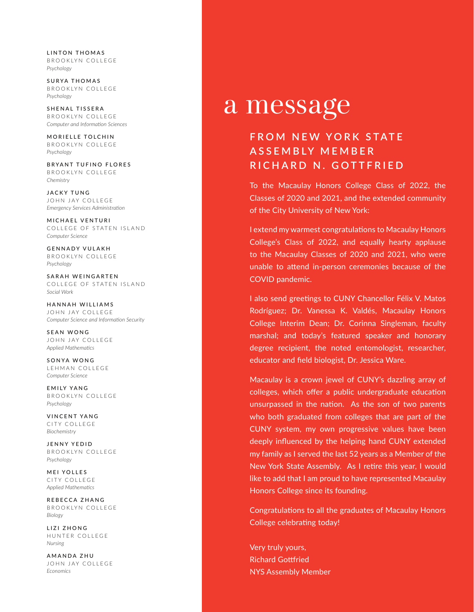LINTON THOMAS BROOKLYN COLLEGE *Psychology*

SURYA THOMAS BROOKLYN COLLEGE *Psychology*

SHENAL TISSERA BROOKLYN COLLEGE *Computer and Information Sciences*

MORIELLE TOLCHIN BROOKLYN COLLEGE *Psychology*

BRYANT TUFINO FLORES BROOKLYN COLLEGE *Chemistry*

JACKY TUNG JOHN JAY COLLEGE *Emergency Services Administration*

MICHAEL VENTURI COLLEGE OF STATEN ISLAND *Computer Science*

GENNADY VULAKH BROOKLYN COLLEGE *Psychology*

SARAH WEINGARTEN COLLEGE OF STATEN ISLAND *Social Work*

HANNAH WILLIAMS JOHN JAY COLLEGE *Computer Science and Information Security*

SEAN WONG JOHN JAY COLLEGE *Applied Mathematics*

SONYA WONG LEHMAN COLLEGE *Computer Science*

EMILY YANG BROOKLYN COLLEGE *Psychology*

VINCENT YANG CITY COLLEGE *Biochemistry*

JENNY YEDID BROOKLYN COLLEGE *Psychology*

MEI YOLLES CITY COLLEGE *Applied Mathematics*

REBECCA ZHANG BROOKLYN COLLEGE *Biology*

LIZI ZHONG HUNTER COLLEGE *Nursing*

AMANDA ZHU JOHN JAY COLLEGE *Economics*

# a message

# **FROM NEW YORK STATE A S S E M B LY M E M B E R RICHARD N. GOTTFRIED**

To the Macaulay Honors College Class of 2022, the Classes of 2020 and 2021, and the extended community of the City University of New York:

I extend my warmest congratulations to Macaulay Honors College's Class of 2022, and equally hearty applause to the Macaulay Classes of 2020 and 2021, who were unable to attend in-person ceremonies because of the COVID pandemic.

I also send greetings to CUNY Chancellor Félix V. Matos Rodríguez; Dr. Vanessa K. Valdés, Macaulay Honors College Interim Dean; Dr. Corinna Singleman, faculty marshal; and today's featured speaker and honorary degree recipient, the noted entomologist, researcher, educator and field biologist, Dr. Jessica Ware.

Macaulay is a crown jewel of CUNY's dazzling array of colleges, which offer a public undergraduate education unsurpassed in the nation. As the son of two parents who both graduated from colleges that are part of the CUNY system, my own progressive values have been deeply influenced by the helping hand CUNY extended my family as I served the last 52 years as a Member of the New York State Assembly. As I retire this year, I would like to add that I am proud to have represented Macaulay Honors College since its founding.

Congratulations to all the graduates of Macaulay Honors College celebrating today!

Very truly yours, Richard Gottfried NYS Assembly Member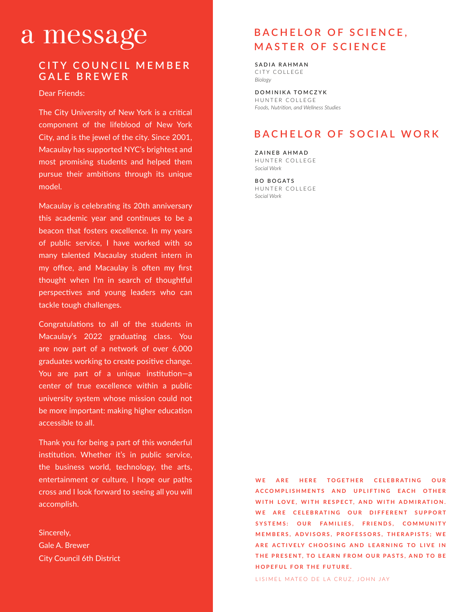# a message

### **CITY COUNCIL MEMBER GALE BREWER**

Dear Friends:

 $\Gamma$ ho City Llnive *Sonic Arts* The City University of New York is a critical most promising students and helped them pursue their ambitions through its unique component of the lifeblood of New York City, and is the jewel of the city. Since 2001, Macaulay has supported NYC's brightest and model.

Macaulay is celebrating its 20th anniversary this academic year and continues to be a beacon that fosters excellence. In my years of public service, I have worked with so many talented Macaulay student intern in my office, and Macaulay is often my first thought when I'm in search of thoughtful perspectives and young leaders who can tackle tough challenges.

Congratulations to all of the students in Macaulay's 2022 graduating class. You are now part of a network of over 6,000 graduates working to create positive change. You are part of a unique institution—a center of true excellence within a public university system whose mission could not be more important: making higher education accessible to all.

Thank you for being a part of this wonderful institution. Whether it's in public service, the business world, technology, the arts, entertainment or culture, I hope our paths cross and I look forward to seeing all you will accomplish.

Sincerely, Gale A. Brewer City Council 6th District

# **BACHELOR OF SCIENCE, MASTER OF SCIENCE**

SADIA RAHMAN CITY COLLEGE *Biology*

DOMINIKA TOMCZYK HUNTER COLLEGE *Foods, Nutrition, and Wellness Studies*

# **BACHELOR OF SOCIAL WORK**

ZAINEB AHMAD HUNTER COLLEGE *Social Work*

BO BOGATS HUNTER COLLEGE *Social Work*

WE ARE HERE TOGETHER CELEBRATING OUR **ACCOMPLISHMENTS AND UPLIFTING EACH OTHER** WITH LOVE, WITH RESPECT, AND WITH ADMIRATION. WE ARE CELEBRATING OUR DIFFERENT SUPPORT SYSTEMS: OUR FAMILIES, FRIENDS, COMMUNITY **MEMBERS, ADVISORS, PROFESSORS, THERAPISTS; WE ARE ACTIVELY CHOOSING AND LEARNING TO LIVE IN THE PRESENT, TO LEARN FROM OUR PASTS, AND TO BE HOPEFUL FOR THE FUTURE.** 

LISIMEL MATEO DE LA CRUZ, JOHN JAY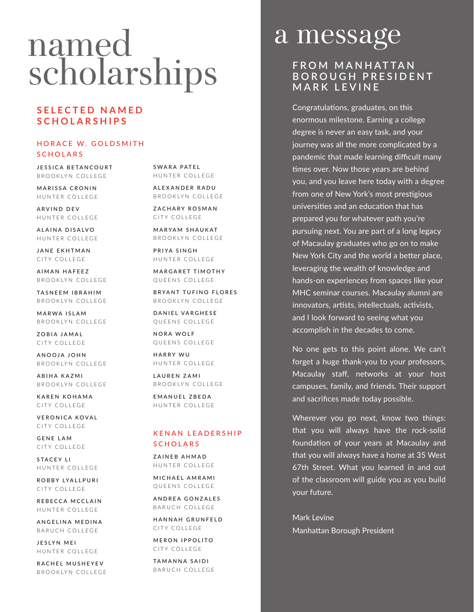# named scholarships

## **SELECTED NAMED SCHOLARSHIPS**

### **HORACE W. GOLDSMITH SCHOLARS**

JESSICA BETANCOURT BROOKLYN COLLEGE

MARISSA CRONIN HUNTER COLLEGE

ARVIND DEV HUNTER COLLEGE

ALAINA DISALVO HUNTER COLLEGE

JANE EKHTMAN CITY COLLEGE

AIMAN HAFEEZ BROOKLYN COLLEGE

TASNEEM IBRAHIM BROOKLYN COLLEGE

MARWA ISLAM BROOKLYN COLLEGE

ZOBIA JAMAL CITY COLLEGE

ANOOJA JOHN BROOKLYN COLLEGE

ABIHA KAZMI BROOKLYN COLLEGE

KAREN KOHAMA CITY COLLEGE

VERONICA KOVAL CITY COLLEGE

GENE LAM CITY COLLEGE

STACEY LI HUNTER COLLEGE

ROBBY LYALLPURI CITY COLLEGE

REBECCA MCCLAIN HUNTER COLLEGE

ANGELINA MEDINA BARUCH COLLEGE

JESLYN MEI HUNTER COLLEGE

RACHEL MUSHEYEV BROOKLYN COLLEGE

SWARA PATEL HUNTER COLLEGE

ALEXANDER RADU BROOKLYN COLLEGE

ZACHARY ROSMAN CITY COLLEGE

MARYAM SHAUKAT BROOKLYN COLLEGE

PRIYA SINGH HUNTER COLLEGE

MARGARET TIMOTHY QUEENS COLLEGE

BRYANT TUFINO FLORES BROOKLYN COLLEGE

DANIEL VARGHESE QUEENS COLLEGE

NORA WOLF QUEENS COLLEGE

HARRY WU HUNTER COLLEGE

LAUREN ZAMI BROOKLYN COLLEGE

EMANUEL ZBEDA HUNTER COLLEGE

### **K E N A N L E A D E R S H I P SCHOLARS**

ZAINEB AHMAD HUNTER COLLEGE

MICHAEL AMRAMI QUEENS COLLEGE

ANDREA GONZALES BARUCH COLLEGE

HANNAH GRUNFELD CITY COLLEGE

MERON IPPOLITO CITY COLLEGE

TAMANNA SAIDI BARUCH COLLEGE

# a message

## **FROM MANHATTAN B O R O U G H P R E S I D E N T MARK LEVINE**

Congratulations, graduates, on this enormous milestone. Earning a college degree is never an easy task, and your journey was all the more complicated by a pandemic that made learning difficult many times over. Now those years are behind you, and you leave here today with a degree from one of New York's most prestigious universities and an education that has prepared you for whatever path you're pursuing next. You are part of a long legacy of Macaulay graduates who go on to make New York City and the world a better place, leveraging the wealth of knowledge and hands-on experiences from spaces like your MHC seminar courses. Macaulay alumni are innovators, artists, intellectuals, activists, and I look forward to seeing what you accomplish in the decades to come.

No one gets to this point alone. We can't forget a huge thank-you to your professors, Macaulay staff, networks at your host campuses, family, and friends. Their support and sacrifices made today possible.

Wherever you go next, know two things: that you will always have the rock-solid foundation of your years at Macaulay and that you will always have a home at 35 West 67th Street. What you learned in and out of the classroom will guide you as you build your future.

Mark Levine Manhattan Borough President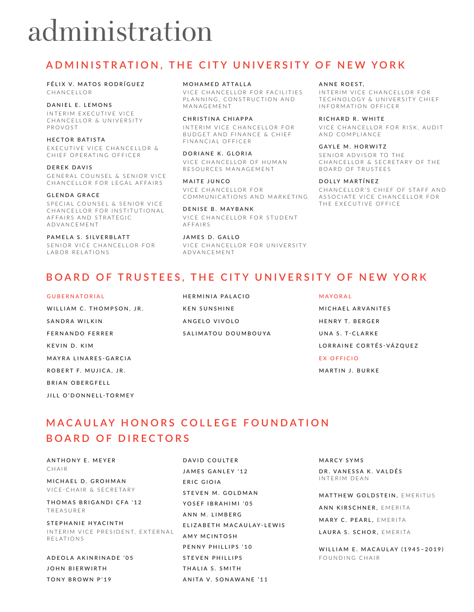# administration

# **ADMINISTRATION, THE CITY UNIVERSITY OF NEW YORK**

FÉLIX V. MATOS RODRÍGUEZ CHANCELLOR

DANIEL E. LEMONS IN TERIM EXECUTIVE VICE CHANCELLOR & UNIVERSITY PROVOST

HECTOR BATISTA EXECUTIVE VICE CHANCELLOR & CHIEF OPERATING OFFICER

DEREK DAVIS GENERAL COUNSEL & SENIOR VICE CHANCELLOR FOR LEGAL AFFAIRS

GLENDA GRACE SPECIAL COUNSEL & SENIOR VICE CHANCELLOR FOR INSTITUTIONAL A F F A I R S A N D S T R A T E G I C ADVANCEMENT

PAMELA S. SILVERBLATT SENIOR VICE CHANCELLOR FOR LABOR RELATIONS

MOHAMED ATTALLA

VICE CHANCELLOR FOR FACILITIES PLANNING, CONSTRUCTION AND MANAGEMENT

CHRISTINA CHIAPPA INTERIM VICE CHANCELLOR FOR BUDGET AND FINANCE & CHIEF FINANCIAL OFFICER

DORIANE K. GLORIA VICE CHANCELLOR OF HUMAN RESOURCES MANAGEMENT

MAITE JUNCO VICE CHANCELLOR FOR COMMUNICATIONS AND MARKETING

DENISE B. MAYBANK VICE CHANCELLOR FOR STUDENT AFFAIRS

JAMES D. GALLO VICE CHANCELLOR FOR UNIVERSITY ADVANCEMENT

#### ANNE ROEST.

INTERIM VICE CHANCELLOR FOR TECHNOLOGY & UNIVERSITY CHIEF INFORMATION OFFICER

RICHARD R. WHITE

VICE CHANCELLOR FOR RISK, AUDIT AND COMPLIANCE

#### GAYLE M. HORWITZ

SENIOR ADVISOR TO THE CHANCELLOR & SECRETARY OF THE BOARD OF TRUSTEES

#### DOLLY MARTÍNEZ

CHANCELLOR'S CHIEF OF STAFF AND ASSOCIATE VICE CHANCELLOR FOR THE EXECUTIVE OFFICE

# **BOARD OF TRUSTEES, THE CITY UNIVERSITY OF NEW YORK**

GUBERNATORIAL

WILLIAM C. THOMPSON, JR. SANDRA WILKIN F FRN A N D O F FR R F R K F V IN D K IM MAYRA LINARES-GARCIA ROBERT F. MUJICA, JR. BRIAN ORFRGEELL

JILL O'DONNELL-TORMEY

HERMINIA PALACIO KEN SUNSHINE ANGELO VIVOLO SALIMATOU DOUMBOUYA MAYORAL

MICHAEL ARVANITES HENRY T. BERGER UNA S. T-CLARKE LORRAINE CORTÉS-VÁZQUEZ EX OFFICIO

MARTIN J. BURKE

# **MACAULAY HONORS COLLEGE FOUNDATION BOARD OF DIRECTORS**

ANTHONY E. MEYER CHAIR

MICHAEL D. GROHMAN VICE-CHAIR & SECRETARY

THOMAS BRIGANDI CFA '12 TREASURER

STEPHANIE HYACINTH INTERIM VICE PRESIDENT, EXTERNAL RELATIONS

ADEOLA AKINRINADE '05 JOHN BIERWIRTH TONY BROWN P'19

DAVID COULTER JAMES GANLEY '12 ERIC GIOIA STEVEN M. GOLDMAN YOSEF IBRAHIMI '05 ANN M. LIMBERG ELIZABETH MACAULAY-LEWIS AMY MCINTOSH PENNY PHILLIPS '10 STEVEN PHILLIPS THALIA S. SMITH ANITA V. SONAWANE '11

MARCY SYMS

DR. VANESSA K. VALDÉS INTERIM DEAN

MATTHEW GOLDSTEIN, EMERITUS

ANN KIRSCHNER, EMERITA

MARY C. PEARL, EMERITA

LAURA S. SCHOR, EMERITA

WILLIAM E. MACAULAY (1945–2019) FOUNDING CHAIR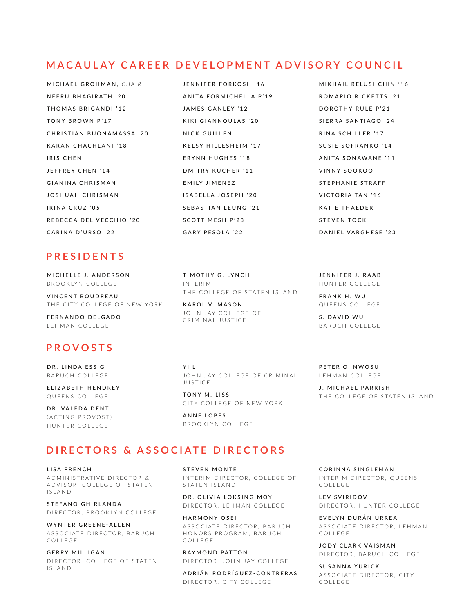# **MACAULAY CAREER DEVELOPMENT ADVISORY COUNCIL**

- MICHAEL GROHMAN, *CHAIR* NEERU BHAGIRATH '20 THOMAS BRIGANDI '12 TONY BROWN P'17 CHRISTIAN BUONAMASSA '20 KARAN CHACHLANI '18 IRIS CHEN JEFFREY CHEN '14 GIANINA CHRISMAN JOSHUAH CHRISMAN IRINA CRUZ '05 REBECCA DEL VECCHIO '20 CARINA D'URSO '22
- JENNIFER FORKOSH '16 ANITA FORMICHELLA P'19 JAMES GANLEY '12 KIKI GIANNOULAS '20 NICK GUILLEN KELSY HILLESHEIM '17 ERYNN HUGHES '18 DMITRY KUCHER '11 EMILY JIMENEZ ISABELLA JOSEPH '20 SEBASTIAN LEUNG '21 SCOTT MESH P'23 GARY PESOLA '22
- MIKHAIL RELUSHCHIN '16 ROMARIO RICKETTS '21 DOROTHY RULE P'21 SIERRA SANTIAGO '24 RINA SCHILLER '17 SUSIE SOFRANKO '14 ANITA SONAWANE '11 VINNY SOOKOO STEPHANIE STRAFFI VICTORIA TAN '16 KATIE THAEDER STEVEN TOCK DANIEL VARGHESE '23

# **PRESIDENTS**

MICHELLE J. ANDERSON BROOKLYN COLLEGE

VINCENT BOUDREAU THE CITY COLLEGE OF NEW YORK

FERNANDO DELGADO LEHMAN COLLEGE

# **PROVOSTS**

DR. LINDA ESSIG BARUCH COLLEGE

ELIZABETH HENDREY QUEENS COLLEGE

DR. VALEDA DENT (ACTING PROVOST) HUNTER COLLEGE

TIMOTHY G. LYNCH INTERIM THE COLLEGE OF STATEN ISLAND

KAROL V. MASON JOHN JAY COLLEGE OF CRIMINAL JUSTICE

YI LI JOHN JAY COLLEGE OF CRIMINAL JUSTICE

TONY M. LISS CITY COLLEGE OF NEW YORK

ANNE LOPES BROOKLYN COLLEGE

### **DIRECTORS & ASSOCIATE DIRECTORS**

LISA FRENCH A D M IN ISTRATIVE DIRECTOR & A D V I S O R, COLLEGE OF STATEN I S L A N D

STEFANO GHIRLANDA DIRECTOR, BROOKLYN COLLEGE

WYNTER GREENE-ALLEN ASSOCIATE DIRECTOR, BARUCH C O L L E G E

**GERRY MILLIGAN** DIRECTOR, COLLEGE OF STATEN I S L A N D

STEVEN MONTE INTERIM DIRECTOR, COLLEGE OF STATEN ISLAND

DR. OLIVIA LOKSING MOY D I R E C T O R , L E H M A N COLLEGE

HARMONY OSEI ASSOCIATE DIRECTOR, BARUCH HONORS PROGRAM, BARUCH C O L L E G E

RAYMOND PATTON DIRECTOR, JOHN JAY COLLEGE

A DRIÁN RODRÍGUEZ-CONTRERAS DIRECTOR, CITY COLLEGE

CORINNA SINGLEMAN INTERIM DIRECTOR, QUEENS C O L L E G E

LEV SVIRIDOV D I RECTOR, HUNTER COLLEGE

EVELYN DURÁN URREA ASSOCIATE DIRECTOR, LEHMAN C O L L E G E

JODY CLARK VAISMAN DIRECTOR, BARUCH COLLEGE

SUSANNA YURICK ASSOCIATE DIRECTOR, CITY C O L L E G E

JENNIFER J. RAAB HUNTER COLLEGE

FRANK H. WU QUEENS COLLEGE

S. DAVID WU BARUCH COLLEGE

PETER O. NWOSU LEHMAN COLLEGE

J. MICHAEL PARRISH THE COLLEGE OF STATEN ISLAND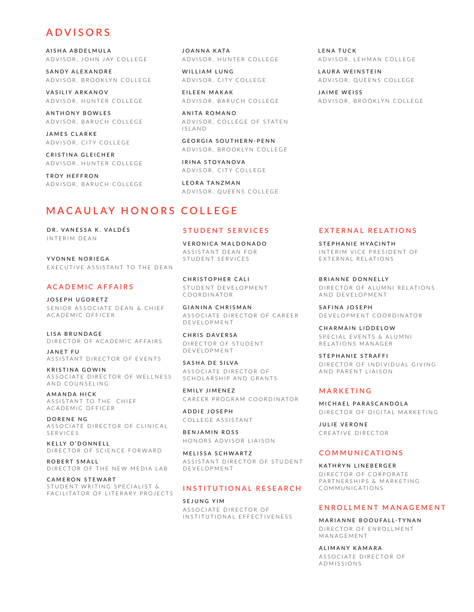### **ADVISORS**

AISHA ABDELMULA A D V I S O R , JOHN JAY COLLEGE

SANDY ALFXANDRE A D V I SOR, BROOKLYN COLLEGE

VASILIY ARKANOV A D V I S O R . H U N T E R C O LL E G E

AN THONY BOWLES A D V I S O R, B A R U C H C O L L E G E

JAMES CLARKE A D V I S O R , C I T Y C O L L E G E

CRISTINA GLEICHER ADVISOR, HUNTER COLLEGE

TROY HEFFRON A D V I SOR, BARUCH COLLEGE JOANNA KATA A D V I S O R, H U N T E R COLLEGE

WILLIAM LUNG A D V I SOR, CITY COLLEGE

FII FFN MAKAK A D V I SOR, BARUCH COLLEGE

ANITA ROMANO ADVISOR, COLLEGE OF STATEN I S L A N D

GEORGIA SOUTHERN-PENN A D V I SOR, BROOKLYN COLLEGE

IRINA STOYANOVA A D V I SOR, CITY COLLEGE

LEORA TANZMAN A D V I SOR, QUE EN SCOLLEGE

### **MACAULAY HONORS COLLEGE**

DR. VANESSA K. VALDÉS INTERIM DEAN

YVONNE NORIEGA EXECUTIVE ASSISTANT TO THE DEAN

### **ACADEMIC AFFAIRS**

JOSEPH UGORETZ SENIOR ASSOCIATE DEAN & CHIEF ACADEMIC OFFICER

LISA BRUNDAGE DIRECTOR OF ACADEMIC AFFAIRS

JANET FU ASSISTANT DIRECTOR OF EVENTS

KRISTINA GOWIN ASSOCIATE DIRECTOR OF WELLNESS AND COUNSELING

AMANDA HICK ASSISTANT TO THE CHIEF A C A D E M I C O F F I C E R

DORENE NG ASSOCIATE DIRECTOR OF CLINICAL SERVICES

KELLY O'DONNELL DIRECTOR OF SCIENCE FORWARD

ROBERT SMALL DIRECTOR OF THE NEW MEDIA LAB

CAMERON STEWART STUDENT WRITING SPECIALIST & FACILITATOR OF LITERARY PROJECTS

### **STUDENT SERVICES**

VERONICA MALDONADO ASSISTANT DEAN FOR STUDENT SERVICES

CHRISTOPHER CALI STUDENT DEVELOPMENT COORDINATOR

GIANINA CHRISMAN ASSOCIATE DIRECTOR OF CAREER DEVELOPMENT

CHRIS DAVERSA DIRECTOR OF STUDENT DEVELOPMENT

SASHA DE SILVA ASSOCIATE DIRECTOR OF SCHOLARSHIP AND GRANTS

EMILY JIMENEZ CAREER PROGRAM COORDINATOR

ADDIE JOSEPH COLLEGE ASSISTANT

BENJAMIN ROSS HONORS ADVISOR LIAISON

MELISSA SCHWARTZ ASSISTANT DIRECTOR OF STUDENT DEVELOPMENT

#### **INSTITUTIONAL RESEARCH**

SEJUNG YIM ASSOCIATE DIRECTOR OF INSTITUTIONAL EFFECTIVENESS LENA TUCK A D V I S O R, LE H M A N COLLEGE

LAURA WEINSTEIN A D V I SOR, QUE EN SCOLLEGE

JAIME WEISS A D V I S O R, B R O O K LY N C O L L E G E

#### **EXTERNAL RELATIONS**

STEPHANIE HYACINTH INTERIM VICE PRESIDENT OF EXTERNAL RELATIONS

BRIANNE DONNELLY D I R F C T O R O F A L U M N L R F L A T LONS AND DEVELOPMENT

SAFINA JOSEPH D E V E LOPMENT COORDINATOR

CHARMAIN LIDDELOW SPECIAL EVENTS & ALUMNI RELATIONS MANAGER

STEPHANIE STRAFFI DIRECTOR OF INDIVIDUAL GIVING AND PARENT LIAISON

### **MARKETING**

MICHAEL PARASCANDOLA DIRECTOR OF DIGITAL MARKETING

JULIE VERONE CREATIVE DIRECTOR

#### **COMMUNICATIONS**

KATHRYN LINEBERGER D I R F C T O R C O R P O R A T F PARTNERSHIPS & MARKETING COMMUNICATIONS

### **ENROLLMENT MANAGEMENT**

MARIANNE BOOUFALL-TYNAN D I R F C T O R O F F N R O L L M E N T MANAGEMENT

ALIMANY KAMARA ASSOCIATE DIRECTOR OF ADMISSIONS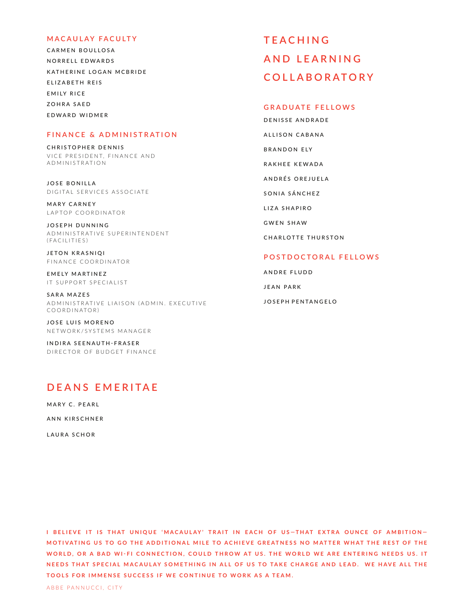### **MACAULAY FACULTY**

CARMEN BOULLOSA NORRELL EDWARDS KATHERINE LOGAN MCBRIDE ELIZABETH REIS EMILY RICE ZOHRA SAED EDWARD WIDMER

### **FINANCE & ADMINISTRATION**

CHRISTOPHER DENNIS VICE PRESIDENT, FINANCE AND ADMINISTRATION

JOSE BONILLA DIGITAL SERVICES ASSOCIATE

MARY CARNEY LAPTOP COORDINATOR

JOSEPH DUNNING A D M I N I ST R A T I V E S U P E R I N T E N D E N T  $(FACLLITIES)$ 

JETON KRASNIQI FINANCE COORDINATOR

EMELY MARTINEZ IT SUPPORT SPECIALIST

SARA MAZES A D M IN I STRATIVE LIAISON (AD M IN . EXECUTIVE COORDINATOR)

JOSE LUIS MORENO NETWORK/SYSTEMS MANAGER

INDIRA SEENAUTH-FRASER DIRECTOR OF BUDGET FINANCE

# **DEANS EMERITAE**

MARY C. PEARL ANN KIRSCHNER

LAURA SCHOR

**T E A C H I N G A N D L E A R N I N G COLLABORATORY**

### **GRADUATE FELLOWS**

DENISSE ANDRADE ALLISON CABANA BRANDON ELY RAKHEE KEWADA ANDRÉS OREJUELA SONIA SÁNCHEZ LIZA SHAPIRO GWEN SHAW CHARLOTTE THURSTON

### **POSTDOCTORAL FELLOWS**

ANDRE FLUDD JEAN PARK JOSEPH PENTANGELO

**I BELIEVE IT IS THAT UNIQUE 'MACAULAY' TRAIT IN EACH OF US—THAT EXTRA OUNCE OF AMBITION—** MOTIVATING US TO GO THE ADDITIONAL MILE TO ACHIEVE GREATNESS NO MATTER WHAT THE REST OF THE WORLD, OR A BAD WI-FI CONNECTION, COULD THROW AT US. THE WORLD WE ARE ENTERING NEEDS US. IT NEEDS THAT SPECIAL MACAULAY SOMETHING IN ALL OF US TO TAKE CHARGE AND LEAD. WE HAVE ALL THE **TOOLS FOR IMMENSE SUCCESS IF WE CONTINUE TO WORK AS A TEAM.**